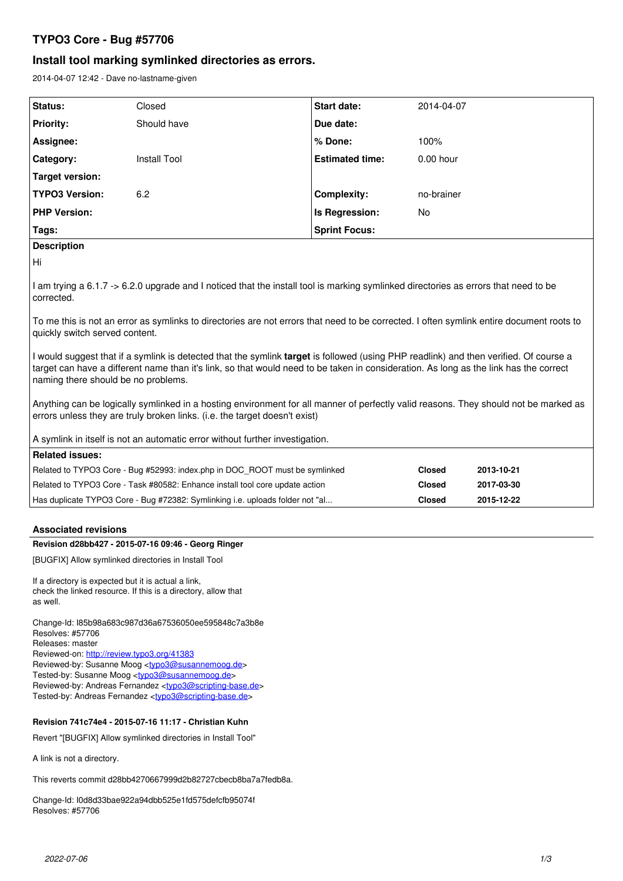# **TYPO3 Core - Bug #57706**

# **Install tool marking symlinked directories as errors.**

2014-04-07 12:42 - Dave no-lastname-given

| Status:                | Closed       | <b>Start date:</b>     | 2014-04-07  |
|------------------------|--------------|------------------------|-------------|
| <b>Priority:</b>       | Should have  | Due date:              |             |
| Assignee:              |              | % Done:                | 100%        |
| Category:              | Install Tool | <b>Estimated time:</b> | $0.00$ hour |
| <b>Target version:</b> |              |                        |             |
| <b>TYPO3 Version:</b>  | 6.2          | <b>Complexity:</b>     | no-brainer  |
| <b>PHP Version:</b>    |              | Is Regression:         | No          |
| Tags:                  |              | <b>Sprint Focus:</b>   |             |
| <b>Description</b>     |              |                        |             |
| Hi                     |              |                        |             |

I am trying a 6.1.7 -> 6.2.0 upgrade and I noticed that the install tool is marking symlinked directories as errors that need to be corrected.

To me this is not an error as symlinks to directories are not errors that need to be corrected. I often symlink entire document roots to quickly switch served content.

I would suggest that if a symlink is detected that the symlink **target** is followed (using PHP readlink) and then verified. Of course a target can have a different name than it's link, so that would need to be taken in consideration. As long as the link has the correct naming there should be no problems.

Anything can be logically symlinked in a hosting environment for all manner of perfectly valid reasons. They should not be marked as errors unless they are truly broken links. (i.e. the target doesn't exist)

A symlink in itself is not an automatic error without further investigation.

| Related issues: I                                                             |               |            |  |  |  |
|-------------------------------------------------------------------------------|---------------|------------|--|--|--|
| Related to TYPO3 Core - Bug #52993: index.php in DOC ROOT must be symlinked   | <b>Closed</b> | 2013-10-21 |  |  |  |
| Related to TYPO3 Core - Task #80582: Enhance install tool core update action  | Closed        | 2017-03-30 |  |  |  |
| Has duplicate TYPO3 Core - Bug #72382: Symlinking i.e. uploads folder not "al | Closed        | 2015-12-22 |  |  |  |

## **Associated revisions**

## **Revision d28bb427 - 2015-07-16 09:46 - Georg Ringer**

[BUGFIX] Allow symlinked directories in Install Tool

If a directory is expected but it is actual a link, check the linked resource. If this is a directory, allow that as well.

Change-Id: I85b98a683c987d36a67536050ee595848c7a3b8e Resolves: #57706 Releases: master Reviewed-on:<http://review.typo3.org/41383> Reviewed-by: Susanne Moog <[typo3@susannemoog.de>](mailto:typo3@susannemoog.de) Tested-by: Susanne Moog <[typo3@susannemoog.de>](mailto:typo3@susannemoog.de) Reviewed-by: Andreas Fernandez [<typo3@scripting-base.de>](mailto:typo3@scripting-base.de) Tested-by: Andreas Fernandez [<typo3@scripting-base.de>](mailto:typo3@scripting-base.de)

## **Revision 741c74e4 - 2015-07-16 11:17 - Christian Kuhn**

Revert "[BUGFIX] Allow symlinked directories in Install Tool"

A link is not a directory.

This reverts commit d28bb4270667999d2b82727cbecb8ba7a7fedb8a.

Change-Id: I0d8d33bae922a94dbb525e1fd575defcfb95074f Resolves: #57706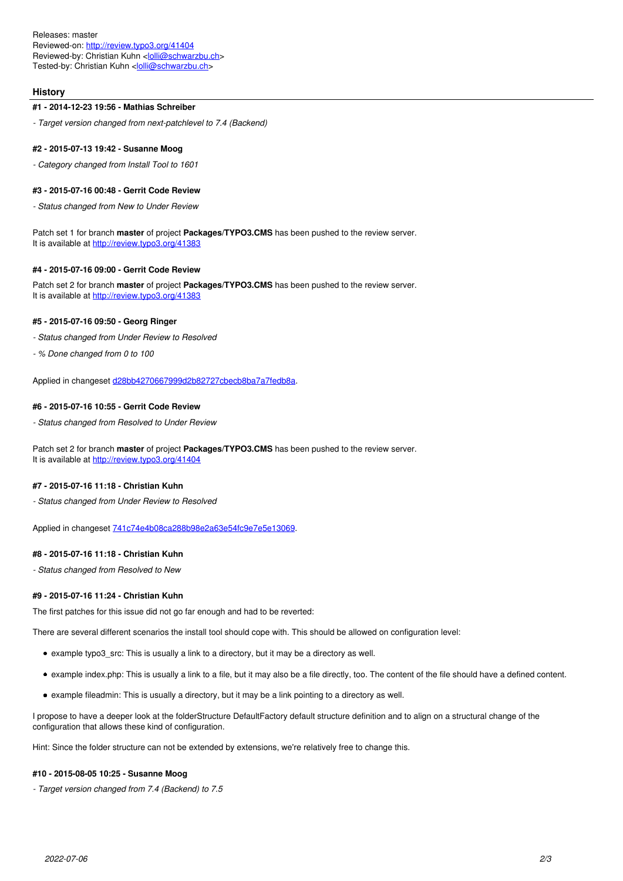Releases: master Reviewed-on:<http://review.typo3.org/41404> Reviewed-by: Christian Kuhn [<lolli@schwarzbu.ch>](mailto:lolli@schwarzbu.ch) Tested-by: Christian Kuhn <[lolli@schwarzbu.ch](mailto:lolli@schwarzbu.ch)>

### **History**

### **#1 - 2014-12-23 19:56 - Mathias Schreiber**

*- Target version changed from next-patchlevel to 7.4 (Backend)*

#### **#2 - 2015-07-13 19:42 - Susanne Moog**

*- Category changed from Install Tool to 1601*

#### **#3 - 2015-07-16 00:48 - Gerrit Code Review**

*- Status changed from New to Under Review*

Patch set 1 for branch **master** of project **Packages/TYPO3.CMS** has been pushed to the review server. It is available at <http://review.typo3.org/41383>

## **#4 - 2015-07-16 09:00 - Gerrit Code Review**

Patch set 2 for branch **master** of project **Packages/TYPO3.CMS** has been pushed to the review server. It is available at <http://review.typo3.org/41383>

#### **#5 - 2015-07-16 09:50 - Georg Ringer**

- *Status changed from Under Review to Resolved*
- *% Done changed from 0 to 100*

Applied in changeset [d28bb4270667999d2b82727cbecb8ba7a7fedb8a](https://forge.typo3.org/projects/typo3cms-core/repository/1749/revisions/d28bb4270667999d2b82727cbecb8ba7a7fedb8a).

## **#6 - 2015-07-16 10:55 - Gerrit Code Review**

*- Status changed from Resolved to Under Review*

Patch set 2 for branch **master** of project **Packages/TYPO3.CMS** has been pushed to the review server. It is available at <http://review.typo3.org/41404>

#### **#7 - 2015-07-16 11:18 - Christian Kuhn**

*- Status changed from Under Review to Resolved*

Applied in changeset [741c74e4b08ca288b98e2a63e54fc9e7e5e13069](https://forge.typo3.org/projects/typo3cms-core/repository/1749/revisions/741c74e4b08ca288b98e2a63e54fc9e7e5e13069).

#### **#8 - 2015-07-16 11:18 - Christian Kuhn**

*- Status changed from Resolved to New*

## **#9 - 2015-07-16 11:24 - Christian Kuhn**

The first patches for this issue did not go far enough and had to be reverted:

There are several different scenarios the install tool should cope with. This should be allowed on configuration level:

- example typo3\_src: This is usually a link to a directory, but it may be a directory as well.
- example index.php: This is usually a link to a file, but it may also be a file directly, too. The content of the file should have a defined content.
- example fileadmin: This is usually a directory, but it may be a link pointing to a directory as well.

I propose to have a deeper look at the folderStructure DefaultFactory default structure definition and to align on a structural change of the configuration that allows these kind of configuration.

Hint: Since the folder structure can not be extended by extensions, we're relatively free to change this.

#### **#10 - 2015-08-05 10:25 - Susanne Moog**

*- Target version changed from 7.4 (Backend) to 7.5*